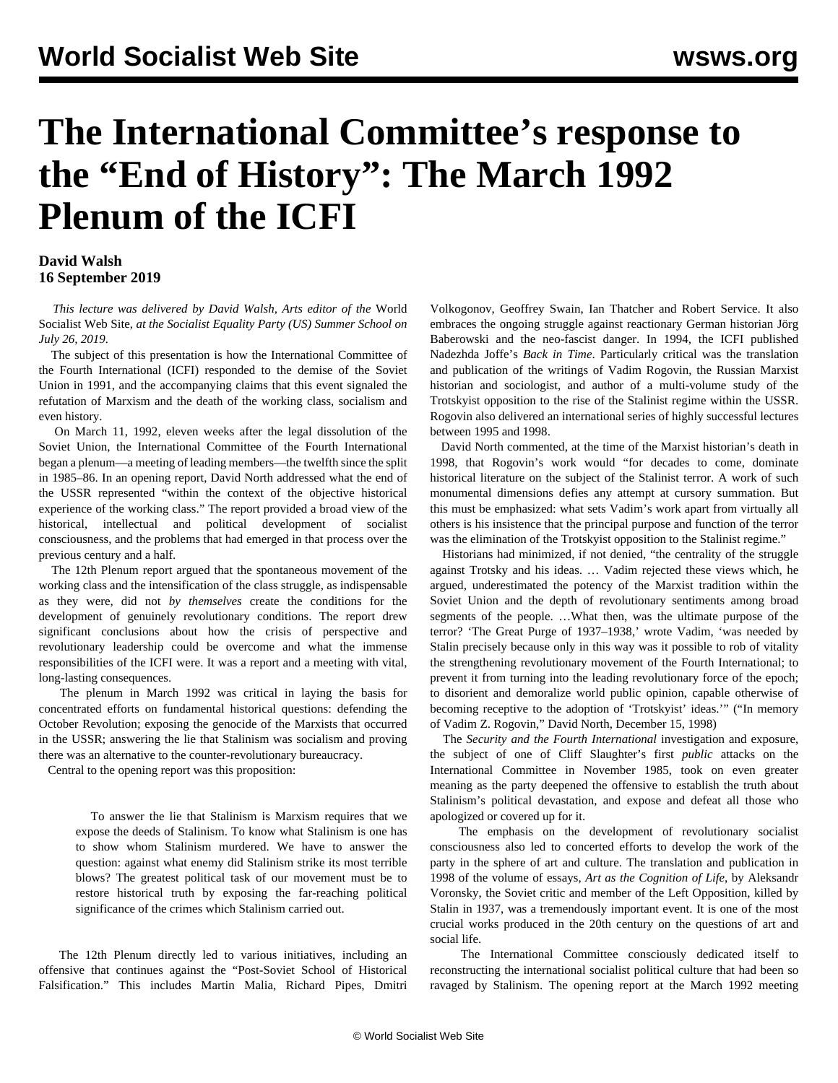## **The International Committee's response to the "End of History": The March 1992 Plenum of the ICFI**

## **David Walsh 16 September 2019**

 *This lecture was delivered by David Walsh, Arts editor of the* World Socialist Web Site, *at the Socialist Equality Party (US) Summer School on July 26, 2019.*

 The subject of this presentation is how the International Committee of the Fourth International (ICFI) responded to the demise of the Soviet Union in 1991, and the accompanying claims that this event signaled the refutation of Marxism and the death of the working class, socialism and even history.

 On March 11, 1992, eleven weeks after the legal dissolution of the Soviet Union, the International Committee of the Fourth International began a plenum—a meeting of leading members—the twelfth since the split in 1985–86. In an opening report, David North addressed what the end of the USSR represented "within the context of the objective historical experience of the working class." The report provided a broad view of the historical, intellectual and political development of socialist consciousness, and the problems that had emerged in that process over the previous century and a half.

 The 12th Plenum report argued that the spontaneous movement of the working class and the intensification of the class struggle, as indispensable as they were, did not *by themselves* create the conditions for the development of genuinely revolutionary conditions. The report drew significant conclusions about how the crisis of perspective and revolutionary leadership could be overcome and what the immense responsibilities of the ICFI were. It was a report and a meeting with vital, long-lasting consequences.

 The plenum in March 1992 was critical in laying the basis for concentrated efforts on fundamental historical questions: defending the October Revolution; exposing the genocide of the Marxists that occurred in the USSR; answering the lie that Stalinism was socialism and proving there was an alternative to the counter-revolutionary bureaucracy.

Central to the opening report was this proposition:

 To answer the lie that Stalinism is Marxism requires that we expose the deeds of Stalinism. To know what Stalinism is one has to show whom Stalinism murdered. We have to answer the question: against what enemy did Stalinism strike its most terrible blows? The greatest political task of our movement must be to restore historical truth by exposing the far-reaching political significance of the crimes which Stalinism carried out.

 The 12th Plenum directly led to various initiatives, including an offensive that continues against the "Post-Soviet School of Historical Falsification." This includes Martin Malia, Richard Pipes, Dmitri Volkogonov, Geoffrey Swain, Ian Thatcher and Robert Service. It also embraces the ongoing struggle against reactionary German historian Jörg Baberowski and the neo-fascist danger. In 1994, the ICFI published Nadezhda Joffe's *Back in Time*. Particularly critical was the translation and publication of the writings of Vadim Rogovin, the Russian Marxist historian and sociologist, and author of a multi-volume study of the Trotskyist opposition to the rise of the Stalinist regime within the USSR. Rogovin also delivered an international series of highly successful lectures between 1995 and 1998.

 David North commented, at the time of the Marxist historian's death in 1998, that Rogovin's work would "for decades to come, dominate historical literature on the subject of the Stalinist terror. A work of such monumental dimensions defies any attempt at cursory summation. But this must be emphasized: what sets Vadim's work apart from virtually all others is his insistence that the principal purpose and function of the terror was the elimination of the Trotskyist opposition to the Stalinist regime."

 Historians had minimized, if not denied, "the centrality of the struggle against Trotsky and his ideas. … Vadim rejected these views which, he argued, underestimated the potency of the Marxist tradition within the Soviet Union and the depth of revolutionary sentiments among broad segments of the people. …What then, was the ultimate purpose of the terror? 'The Great Purge of 1937–1938,' wrote Vadim, 'was needed by Stalin precisely because only in this way was it possible to rob of vitality the strengthening revolutionary movement of the Fourth International; to prevent it from turning into the leading revolutionary force of the epoch; to disorient and demoralize world public opinion, capable otherwise of becoming receptive to the adoption of 'Trotskyist' ideas.'" ("In memory of Vadim Z. Rogovin," David North, December 15, 1998)

 The *Security and the Fourth International* investigation and exposure, the subject of one of Cliff Slaughter's first *public* attacks on the International Committee in November 1985, took on even greater meaning as the party deepened the offensive to establish the truth about Stalinism's political devastation, and expose and defeat all those who apologized or covered up for it.

 The emphasis on the development of revolutionary socialist consciousness also led to concerted efforts to develop the work of the party in the sphere of art and culture. The translation and publication in 1998 of the volume of essays, *Art as the Cognition of Life*, by Aleksandr Voronsky, the Soviet critic and member of the Left Opposition, killed by Stalin in 1937, was a tremendously important event. It is one of the most crucial works produced in the 20th century on the questions of art and social life.

 The International Committee consciously dedicated itself to reconstructing the international socialist political culture that had been so ravaged by Stalinism. The opening report at the March 1992 meeting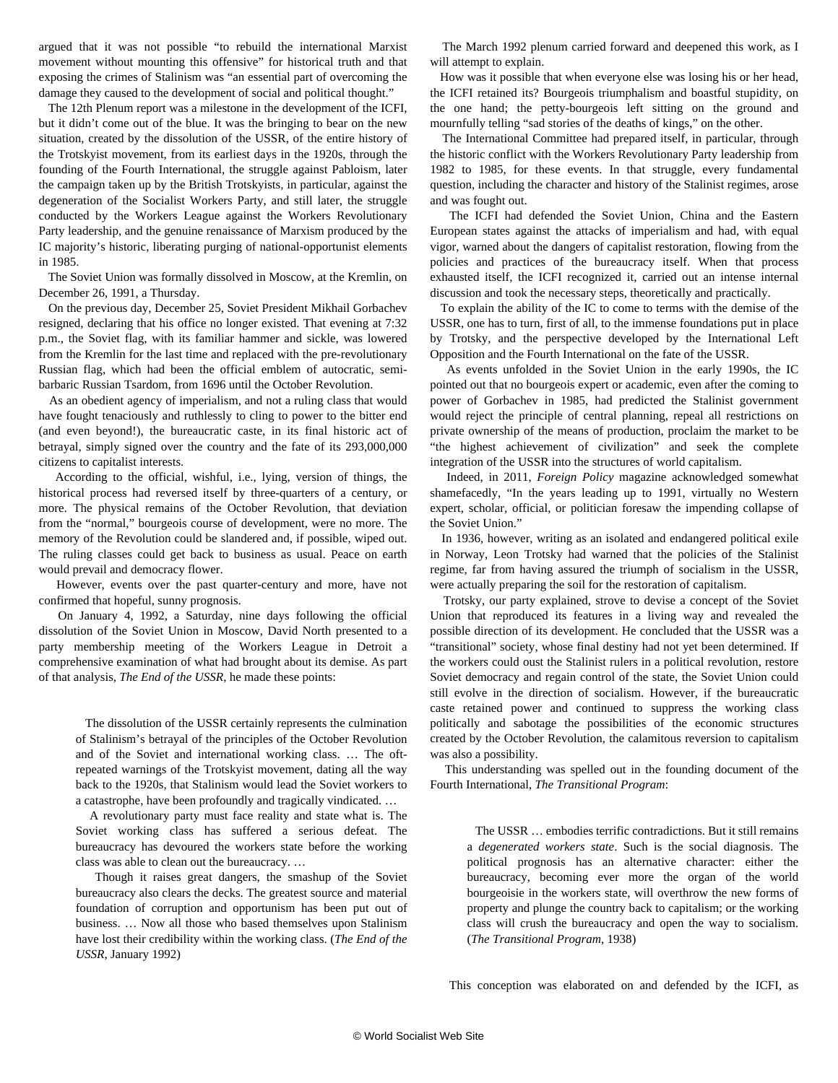argued that it was not possible "to rebuild the international Marxist movement without mounting this offensive" for historical truth and that exposing the crimes of Stalinism was "an essential part of overcoming the damage they caused to the development of social and political thought."

 The 12th Plenum report was a milestone in the development of the ICFI, but it didn't come out of the blue. It was the bringing to bear on the new situation, created by the dissolution of the USSR, of the entire history of the Trotskyist movement, from its earliest days in the 1920s, through the founding of the Fourth International, the struggle against Pabloism, later the campaign taken up by the British Trotskyists, in particular, against the degeneration of the Socialist Workers Party, and still later, the struggle conducted by the Workers League against the Workers Revolutionary Party leadership, and the genuine renaissance of Marxism produced by the IC majority's historic, liberating purging of national-opportunist elements in 1985.

 The Soviet Union was formally dissolved in Moscow, at the Kremlin, on December 26, 1991, a Thursday.

 On the previous day, December 25, Soviet President Mikhail Gorbachev resigned, declaring that his office no longer existed. That evening at 7:32 p.m., the Soviet flag, with its familiar hammer and sickle, was lowered from the Kremlin for the last time and replaced with the pre-revolutionary Russian flag, which had been the official emblem of autocratic, semibarbaric Russian Tsardom, from 1696 until the October Revolution.

 As an obedient agency of imperialism, and not a ruling class that would have fought tenaciously and ruthlessly to cling to power to the bitter end (and even beyond!), the bureaucratic caste, in its final historic act of betrayal, simply signed over the country and the fate of its 293,000,000 citizens to capitalist interests.

 According to the official, wishful, i.e., lying, version of things, the historical process had reversed itself by three-quarters of a century, or more. The physical remains of the October Revolution, that deviation from the "normal," bourgeois course of development, were no more. The memory of the Revolution could be slandered and, if possible, wiped out. The ruling classes could get back to business as usual. Peace on earth would prevail and democracy flower.

 However, events over the past quarter-century and more, have not confirmed that hopeful, sunny prognosis.

 On January 4, 1992, a Saturday, nine days following the official dissolution of the Soviet Union in Moscow, David North presented to a party membership meeting of the Workers League in Detroit a comprehensive examination of what had brought about its demise. As part of that analysis, *The End of the USSR*, he made these points:

 The dissolution of the USSR certainly represents the culmination of Stalinism's betrayal of the principles of the October Revolution and of the Soviet and international working class. … The oftrepeated warnings of the Trotskyist movement, dating all the way back to the 1920s, that Stalinism would lead the Soviet workers to a catastrophe, have been profoundly and tragically vindicated. …

 A revolutionary party must face reality and state what is. The Soviet working class has suffered a serious defeat. The bureaucracy has devoured the workers state before the working class was able to clean out the bureaucracy. …

 Though it raises great dangers, the smashup of the Soviet bureaucracy also clears the decks. The greatest source and material foundation of corruption and opportunism has been put out of business. … Now all those who based themselves upon Stalinism have lost their credibility within the working class. (*The End of the USSR*, January 1992)

 The March 1992 plenum carried forward and deepened this work, as I will attempt to explain.

 How was it possible that when everyone else was losing his or her head, the ICFI retained its? Bourgeois triumphalism and boastful stupidity, on the one hand; the petty-bourgeois left sitting on the ground and mournfully telling "sad stories of the deaths of kings," on the other.

 The International Committee had prepared itself, in particular, through the historic conflict with the Workers Revolutionary Party leadership from 1982 to 1985, for these events. In that struggle, every fundamental question, including the character and history of the Stalinist regimes, arose and was fought out.

 The ICFI had defended the Soviet Union, China and the Eastern European states against the attacks of imperialism and had, with equal vigor, warned about the dangers of capitalist restoration, flowing from the policies and practices of the bureaucracy itself. When that process exhausted itself, the ICFI recognized it, carried out an intense internal discussion and took the necessary steps, theoretically and practically.

 To explain the ability of the IC to come to terms with the demise of the USSR, one has to turn, first of all, to the immense foundations put in place by Trotsky, and the perspective developed by the International Left Opposition and the Fourth International on the fate of the USSR.

 As events unfolded in the Soviet Union in the early 1990s, the IC pointed out that no bourgeois expert or academic, even after the coming to power of Gorbachev in 1985, had predicted the Stalinist government would reject the principle of central planning, repeal all restrictions on private ownership of the means of production, proclaim the market to be "the highest achievement of civilization" and seek the complete integration of the USSR into the structures of world capitalism.

 Indeed, in 2011, *Foreign Policy* magazine acknowledged somewhat shamefacedly, "In the years leading up to 1991, virtually no Western expert, scholar, official, or politician foresaw the impending collapse of the Soviet Union."

 In 1936, however, writing as an isolated and endangered political exile in Norway, Leon Trotsky had warned that the policies of the Stalinist regime, far from having assured the triumph of socialism in the USSR, were actually preparing the soil for the restoration of capitalism.

 Trotsky, our party explained, strove to devise a concept of the Soviet Union that reproduced its features in a living way and revealed the possible direction of its development. He concluded that the USSR was a "transitional" society, whose final destiny had not yet been determined. If the workers could oust the Stalinist rulers in a political revolution, restore Soviet democracy and regain control of the state, the Soviet Union could still evolve in the direction of socialism. However, if the bureaucratic caste retained power and continued to suppress the working class politically and sabotage the possibilities of the economic structures created by the October Revolution, the calamitous reversion to capitalism was also a possibility.

 This understanding was spelled out in the founding document of the Fourth International, *The Transitional Program*:

 The USSR … embodies terrific contradictions. But it still remains a *degenerated workers state*. Such is the social diagnosis. The political prognosis has an alternative character: either the bureaucracy, becoming ever more the organ of the world bourgeoisie in the workers state, will overthrow the new forms of property and plunge the country back to capitalism; or the working class will crush the bureaucracy and open the way to socialism. (*The Transitional Program*, 1938)

This conception was elaborated on and defended by the ICFI, as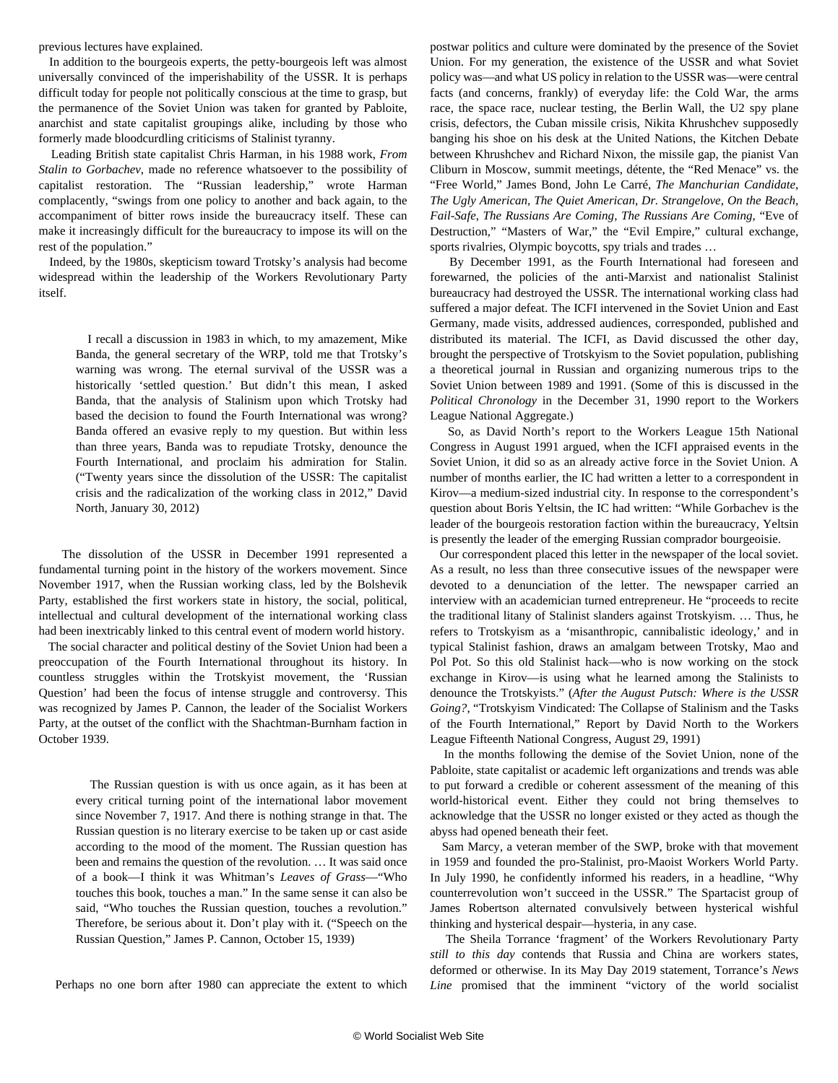previous lectures have explained.

 In addition to the bourgeois experts, the petty-bourgeois left was almost universally convinced of the imperishability of the USSR. It is perhaps difficult today for people not politically conscious at the time to grasp, but the permanence of the Soviet Union was taken for granted by Pabloite, anarchist and state capitalist groupings alike, including by those who formerly made bloodcurdling criticisms of Stalinist tyranny.

 Leading British state capitalist Chris Harman, in his 1988 work, *From Stalin to Gorbachev*, made no reference whatsoever to the possibility of capitalist restoration. The "Russian leadership," wrote Harman complacently, "swings from one policy to another and back again, to the accompaniment of bitter rows inside the bureaucracy itself. These can make it increasingly difficult for the bureaucracy to impose its will on the rest of the population."

 Indeed, by the 1980s, skepticism toward Trotsky's analysis had become widespread within the leadership of the Workers Revolutionary Party itself.

 I recall a discussion in 1983 in which, to my amazement, Mike Banda, the general secretary of the WRP, told me that Trotsky's warning was wrong. The eternal survival of the USSR was a historically 'settled question.' But didn't this mean, I asked Banda, that the analysis of Stalinism upon which Trotsky had based the decision to found the Fourth International was wrong? Banda offered an evasive reply to my question. But within less than three years, Banda was to repudiate Trotsky, denounce the Fourth International, and proclaim his admiration for Stalin. ("Twenty years since the dissolution of the USSR: The capitalist crisis and the radicalization of the working class in 2012," David North, January 30, 2012)

 The dissolution of the USSR in December 1991 represented a fundamental turning point in the history of the workers movement. Since November 1917, when the Russian working class, led by the Bolshevik Party, established the first workers state in history, the social, political, intellectual and cultural development of the international working class had been inextricably linked to this central event of modern world history.

 The social character and political destiny of the Soviet Union had been a preoccupation of the Fourth International throughout its history. In countless struggles within the Trotskyist movement, the 'Russian Question' had been the focus of intense struggle and controversy. This was recognized by James P. Cannon, the leader of the Socialist Workers Party, at the outset of the conflict with the Shachtman-Burnham faction in October 1939.

 The Russian question is with us once again, as it has been at every critical turning point of the international labor movement since November 7, 1917. And there is nothing strange in that. The Russian question is no literary exercise to be taken up or cast aside according to the mood of the moment. The Russian question has been and remains the question of the revolution. … It was said once of a book—I think it was Whitman's *Leaves of Grass*—"Who touches this book, touches a man." In the same sense it can also be said, "Who touches the Russian question, touches a revolution." Therefore, be serious about it. Don't play with it. ("Speech on the Russian Question," James P. Cannon, October 15, 1939)

Perhaps no one born after 1980 can appreciate the extent to which

postwar politics and culture were dominated by the presence of the Soviet Union. For my generation, the existence of the USSR and what Soviet policy was—and what US policy in relation to the USSR was—were central facts (and concerns, frankly) of everyday life: the Cold War, the arms race, the space race, nuclear testing, the Berlin Wall, the U2 spy plane crisis, defectors, the Cuban missile crisis, Nikita Khrushchev supposedly banging his shoe on his desk at the United Nations, the Kitchen Debate between Khrushchev and Richard Nixon, the missile gap, the pianist Van Cliburn in Moscow, summit meetings, détente, the "Red Menace" vs. the "Free World," James Bond, John Le Carré, *The Manchurian Candidate*, *The Ugly American*, *The Quiet American*, *Dr. Strangelove*, *On the Beach*, *Fail-Safe*, *The Russians Are Coming, The Russians Are Coming*, "Eve of Destruction," "Masters of War," the "Evil Empire," cultural exchange, sports rivalries, Olympic boycotts, spy trials and trades …

 By December 1991, as the Fourth International had foreseen and forewarned, the policies of the anti-Marxist and nationalist Stalinist bureaucracy had destroyed the USSR. The international working class had suffered a major defeat. The ICFI intervened in the Soviet Union and East Germany, made visits, addressed audiences, corresponded, published and distributed its material. The ICFI, as David discussed the other day, brought the perspective of Trotskyism to the Soviet population, publishing a theoretical journal in Russian and organizing numerous trips to the Soviet Union between 1989 and 1991. (Some of this is discussed in the *Political Chronology* in the December 31, 1990 report to the Workers League National Aggregate.)

 So, as David North's report to the Workers League 15th National Congress in August 1991 argued, when the ICFI appraised events in the Soviet Union, it did so as an already active force in the Soviet Union. A number of months earlier, the IC had written a letter to a correspondent in Kirov—a medium-sized industrial city. In response to the correspondent's question about Boris Yeltsin, the IC had written: "While Gorbachev is the leader of the bourgeois restoration faction within the bureaucracy, Yeltsin is presently the leader of the emerging Russian comprador bourgeoisie.

 Our correspondent placed this letter in the newspaper of the local soviet. As a result, no less than three consecutive issues of the newspaper were devoted to a denunciation of the letter. The newspaper carried an interview with an academician turned entrepreneur. He "proceeds to recite the traditional litany of Stalinist slanders against Trotskyism. … Thus, he refers to Trotskyism as a 'misanthropic, cannibalistic ideology,' and in typical Stalinist fashion, draws an amalgam between Trotsky, Mao and Pol Pot. So this old Stalinist hack—who is now working on the stock exchange in Kirov—is using what he learned among the Stalinists to denounce the Trotskyists." (*After the August Putsch: Where is the USSR Going?*, "Trotskyism Vindicated: The Collapse of Stalinism and the Tasks of the Fourth International," Report by David North to the Workers League Fifteenth National Congress, August 29, 1991)

 In the months following the demise of the Soviet Union, none of the Pabloite, state capitalist or academic left organizations and trends was able to put forward a credible or coherent assessment of the meaning of this world-historical event. Either they could not bring themselves to acknowledge that the USSR no longer existed or they acted as though the abyss had opened beneath their feet.

 Sam Marcy, a veteran member of the SWP, broke with that movement in 1959 and founded the pro-Stalinist, pro-Maoist Workers World Party. In July 1990, he confidently informed his readers, in a headline, "Why counterrevolution won't succeed in the USSR." The Spartacist group of James Robertson alternated convulsively between hysterical wishful thinking and hysterical despair—hysteria, in any case.

 The Sheila Torrance 'fragment' of the Workers Revolutionary Party *still to this day* contends that Russia and China are workers states, deformed or otherwise. In its May Day 2019 statement, Torrance's *News Line* promised that the imminent "victory of the world socialist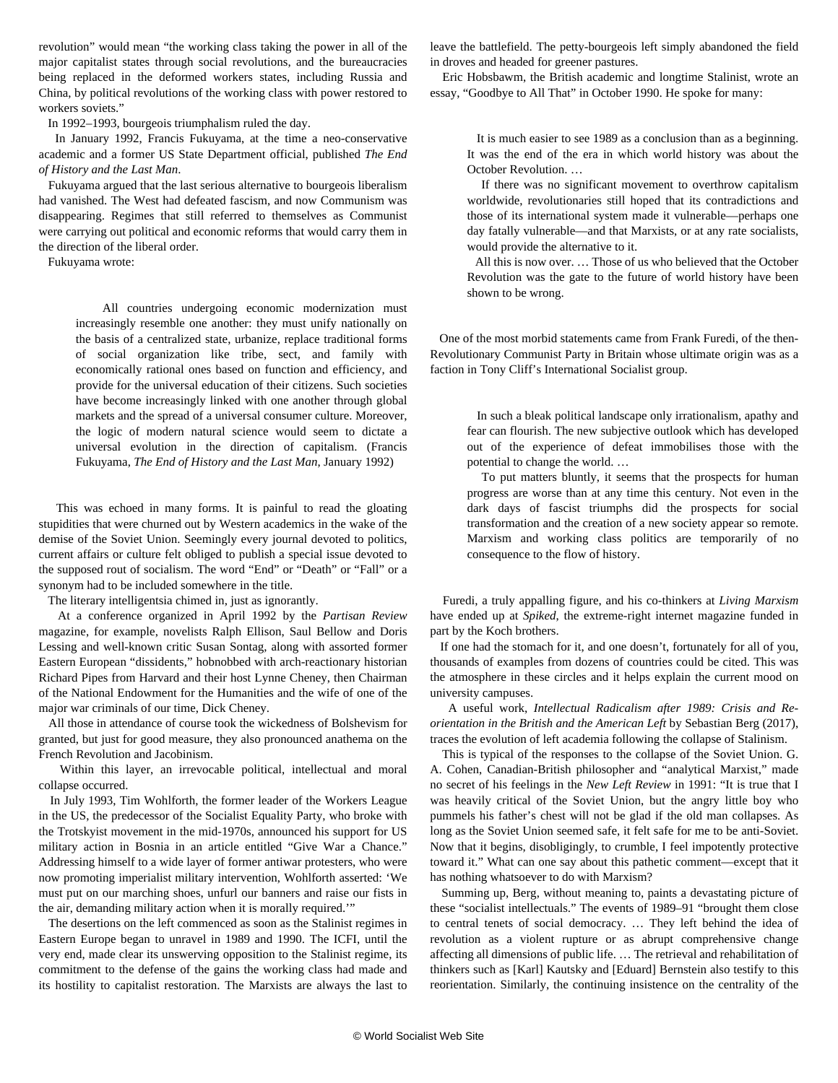revolution" would mean "the working class taking the power in all of the major capitalist states through social revolutions, and the bureaucracies being replaced in the deformed workers states, including Russia and China, by political revolutions of the working class with power restored to workers soviets."

In 1992–1993, bourgeois triumphalism ruled the day.

 In January 1992, Francis Fukuyama, at the time a neo-conservative academic and a former US State Department official, published *The End of History and the Last Man*.

 Fukuyama argued that the last serious alternative to bourgeois liberalism had vanished. The West had defeated fascism, and now Communism was disappearing. Regimes that still referred to themselves as Communist were carrying out political and economic reforms that would carry them in the direction of the liberal order.

Fukuyama wrote:

 All countries undergoing economic modernization must increasingly resemble one another: they must unify nationally on the basis of a centralized state, urbanize, replace traditional forms of social organization like tribe, sect, and family with economically rational ones based on function and efficiency, and provide for the universal education of their citizens. Such societies have become increasingly linked with one another through global markets and the spread of a universal consumer culture. Moreover, the logic of modern natural science would seem to dictate a universal evolution in the direction of capitalism. (Francis Fukuyama, *The End of History and the Last Man*, January 1992)

 This was echoed in many forms. It is painful to read the gloating stupidities that were churned out by Western academics in the wake of the demise of the Soviet Union. Seemingly every journal devoted to politics, current affairs or culture felt obliged to publish a special issue devoted to the supposed rout of socialism. The word "End" or "Death" or "Fall" or a synonym had to be included somewhere in the title.

The literary intelligentsia chimed in, just as ignorantly.

 At a conference organized in April 1992 by the *Partisan Review* magazine, for example, novelists Ralph Ellison, Saul Bellow and Doris Lessing and well-known critic Susan Sontag, along with assorted former Eastern European "dissidents," hobnobbed with arch-reactionary historian Richard Pipes from Harvard and their host Lynne Cheney, then Chairman of the National Endowment for the Humanities and the wife of one of the major war criminals of our time, Dick Cheney.

 All those in attendance of course took the wickedness of Bolshevism for granted, but just for good measure, they also pronounced anathema on the French Revolution and Jacobinism.

 Within this layer, an irrevocable political, intellectual and moral collapse occurred.

 In July 1993, Tim Wohlforth, the former leader of the Workers League in the US, the predecessor of the Socialist Equality Party, who broke with the Trotskyist movement in the mid-1970s, announced his support for US military action in Bosnia in an article entitled "Give War a Chance." Addressing himself to a wide layer of former antiwar protesters, who were now promoting imperialist military intervention, Wohlforth asserted: 'We must put on our marching shoes, unfurl our banners and raise our fists in the air, demanding military action when it is morally required.'"

 The desertions on the left commenced as soon as the Stalinist regimes in Eastern Europe began to unravel in 1989 and 1990. The ICFI, until the very end, made clear its unswerving opposition to the Stalinist regime, its commitment to the defense of the gains the working class had made and its hostility to capitalist restoration. The Marxists are always the last to leave the battlefield. The petty-bourgeois left simply abandoned the field in droves and headed for greener pastures.

 Eric Hobsbawm, the British academic and longtime Stalinist, wrote an essay, "Goodbye to All That" in October 1990. He spoke for many:

 It is much easier to see 1989 as a conclusion than as a beginning. It was the end of the era in which world history was about the October Revolution.

 If there was no significant movement to overthrow capitalism worldwide, revolutionaries still hoped that its contradictions and those of its international system made it vulnerable—perhaps one day fatally vulnerable—and that Marxists, or at any rate socialists, would provide the alternative to it.

 All this is now over. … Those of us who believed that the October Revolution was the gate to the future of world history have been shown to be wrong.

 One of the most morbid statements came from Frank Furedi, of the then-Revolutionary Communist Party in Britain whose ultimate origin was as a faction in Tony Cliff's International Socialist group.

 In such a bleak political landscape only irrationalism, apathy and fear can flourish. The new subjective outlook which has developed out of the experience of defeat immobilises those with the potential to change the world. …

 To put matters bluntly, it seems that the prospects for human progress are worse than at any time this century. Not even in the dark days of fascist triumphs did the prospects for social transformation and the creation of a new society appear so remote. Marxism and working class politics are temporarily of no consequence to the flow of history.

 Furedi, a truly appalling figure, and his co-thinkers at *Living Marxism* have ended up at *Spiked*, the extreme-right internet magazine funded in part by the Koch brothers.

 If one had the stomach for it, and one doesn't, fortunately for all of you, thousands of examples from dozens of countries could be cited. This was the atmosphere in these circles and it helps explain the current mood on university campuses.

 A useful work, *Intellectual Radicalism after 1989: Crisis and Reorientation in the British and the American Left* by Sebastian Berg (2017), traces the evolution of left academia following the collapse of Stalinism.

 This is typical of the responses to the collapse of the Soviet Union. G. A. Cohen, Canadian-British philosopher and "analytical Marxist," made no secret of his feelings in the *New Left Review* in 1991: "It is true that I was heavily critical of the Soviet Union, but the angry little boy who pummels his father's chest will not be glad if the old man collapses. As long as the Soviet Union seemed safe, it felt safe for me to be anti-Soviet. Now that it begins, disobligingly, to crumble, I feel impotently protective toward it." What can one say about this pathetic comment—except that it has nothing whatsoever to do with Marxism?

 Summing up, Berg, without meaning to, paints a devastating picture of these "socialist intellectuals." The events of 1989–91 "brought them close to central tenets of social democracy. … They left behind the idea of revolution as a violent rupture or as abrupt comprehensive change affecting all dimensions of public life. … The retrieval and rehabilitation of thinkers such as [Karl] Kautsky and [Eduard] Bernstein also testify to this reorientation. Similarly, the continuing insistence on the centrality of the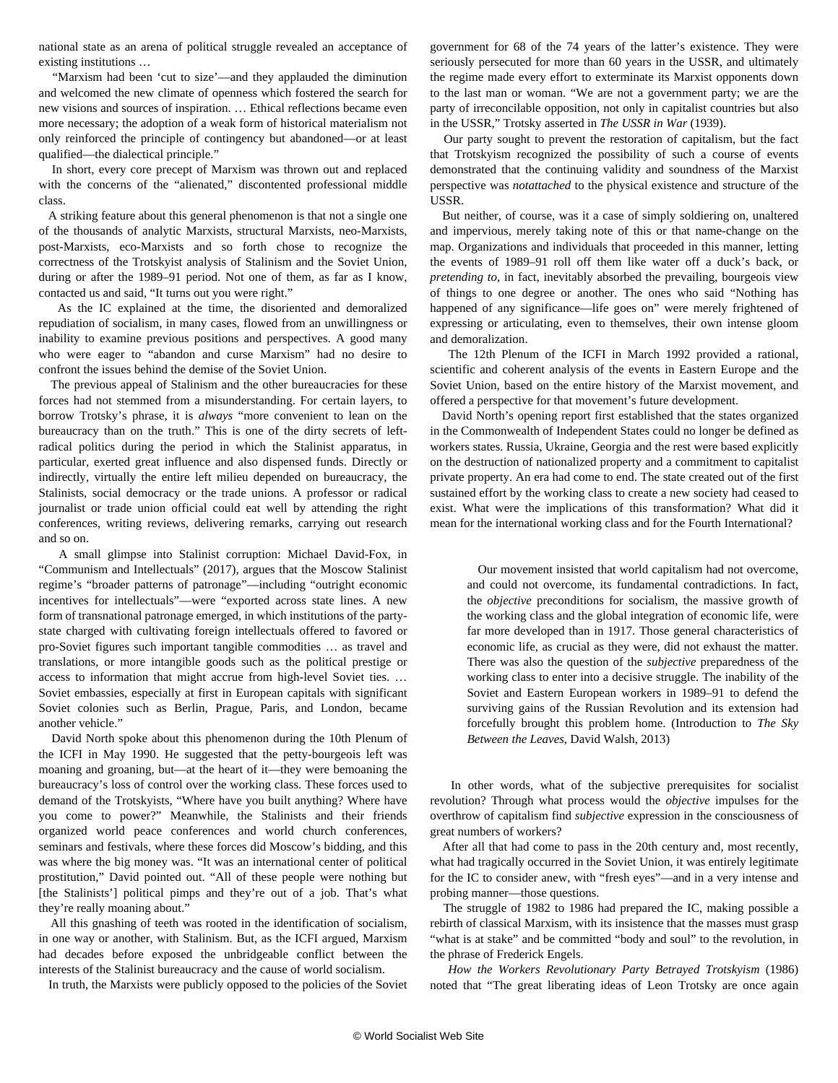national state as an arena of political struggle revealed an acceptance of existing institutions …

 "Marxism had been 'cut to size'—and they applauded the diminution and welcomed the new climate of openness which fostered the search for new visions and sources of inspiration. … Ethical reflections became even more necessary; the adoption of a weak form of historical materialism not only reinforced the principle of contingency but abandoned—or at least qualified—the dialectical principle."

 In short, every core precept of Marxism was thrown out and replaced with the concerns of the "alienated," discontented professional middle class.

 A striking feature about this general phenomenon is that not a single one of the thousands of analytic Marxists, structural Marxists, neo-Marxists, post-Marxists, eco-Marxists and so forth chose to recognize the correctness of the Trotskyist analysis of Stalinism and the Soviet Union, during or after the 1989–91 period. Not one of them, as far as I know, contacted us and said, "It turns out you were right."

 As the IC explained at the time, the disoriented and demoralized repudiation of socialism, in many cases, flowed from an unwillingness or inability to examine previous positions and perspectives. A good many who were eager to "abandon and curse Marxism" had no desire to confront the issues behind the demise of the Soviet Union.

 The previous appeal of Stalinism and the other bureaucracies for these forces had not stemmed from a misunderstanding. For certain layers, to borrow Trotsky's phrase, it is *always* "more convenient to lean on the bureaucracy than on the truth." This is one of the dirty secrets of leftradical politics during the period in which the Stalinist apparatus, in particular, exerted great influence and also dispensed funds. Directly or indirectly, virtually the entire left milieu depended on bureaucracy, the Stalinists, social democracy or the trade unions. A professor or radical journalist or trade union official could eat well by attending the right conferences, writing reviews, delivering remarks, carrying out research and so on.

 A small glimpse into Stalinist corruption: Michael David-Fox, in "Communism and Intellectuals" (2017), argues that the Moscow Stalinist regime's "broader patterns of patronage"—including "outright economic incentives for intellectuals"—were "exported across state lines. A new form of transnational patronage emerged, in which institutions of the partystate charged with cultivating foreign intellectuals offered to favored or pro-Soviet figures such important tangible commodities … as travel and translations, or more intangible goods such as the political prestige or access to information that might accrue from high-level Soviet ties. … Soviet embassies, especially at first in European capitals with significant Soviet colonies such as Berlin, Prague, Paris, and London, became another vehicle."

 David North spoke about this phenomenon during the 10th Plenum of the ICFI in May 1990. He suggested that the petty-bourgeois left was moaning and groaning, but—at the heart of it—they were bemoaning the bureaucracy's loss of control over the working class. These forces used to demand of the Trotskyists, "Where have you built anything? Where have you come to power?" Meanwhile, the Stalinists and their friends organized world peace conferences and world church conferences, seminars and festivals, where these forces did Moscow's bidding, and this was where the big money was. "It was an international center of political prostitution," David pointed out. "All of these people were nothing but [the Stalinists'] political pimps and they're out of a job. That's what they're really moaning about."

 All this gnashing of teeth was rooted in the identification of socialism, in one way or another, with Stalinism. But, as the ICFI argued, Marxism had decades before exposed the unbridgeable conflict between the interests of the Stalinist bureaucracy and the cause of world socialism.

In truth, the Marxists were publicly opposed to the policies of the Soviet

government for 68 of the 74 years of the latter's existence. They were seriously persecuted for more than 60 years in the USSR, and ultimately the regime made every effort to exterminate its Marxist opponents down to the last man or woman. "We are not a government party; we are the party of irreconcilable opposition, not only in capitalist countries but also in the USSR," Trotsky asserted in *The USSR in War* (1939).

 Our party sought to prevent the restoration of capitalism, but the fact that Trotskyism recognized the possibility of such a course of events demonstrated that the continuing validity and soundness of the Marxist perspective was *notattached* to the physical existence and structure of the USSR.

 But neither, of course, was it a case of simply soldiering on, unaltered and impervious, merely taking note of this or that name-change on the map. Organizations and individuals that proceeded in this manner, letting the events of 1989–91 roll off them like water off a duck's back, or *pretending to*, in fact, inevitably absorbed the prevailing, bourgeois view of things to one degree or another. The ones who said "Nothing has happened of any significance—life goes on" were merely frightened of expressing or articulating, even to themselves, their own intense gloom and demoralization.

 The 12th Plenum of the ICFI in March 1992 provided a rational, scientific and coherent analysis of the events in Eastern Europe and the Soviet Union, based on the entire history of the Marxist movement, and offered a perspective for that movement's future development.

 David North's opening report first established that the states organized in the Commonwealth of Independent States could no longer be defined as workers states. Russia, Ukraine, Georgia and the rest were based explicitly on the destruction of nationalized property and a commitment to capitalist private property. An era had come to end. The state created out of the first sustained effort by the working class to create a new society had ceased to exist. What were the implications of this transformation? What did it mean for the international working class and for the Fourth International?

 Our movement insisted that world capitalism had not overcome, and could not overcome, its fundamental contradictions. In fact, the *objective* preconditions for socialism, the massive growth of the working class and the global integration of economic life, were far more developed than in 1917. Those general characteristics of economic life, as crucial as they were, did not exhaust the matter. There was also the question of the *subjective* preparedness of the working class to enter into a decisive struggle. The inability of the Soviet and Eastern European workers in 1989–91 to defend the surviving gains of the Russian Revolution and its extension had forcefully brought this problem home. (Introduction to *The Sky Between the Leaves*, David Walsh, 2013)

 In other words, what of the subjective prerequisites for socialist revolution? Through what process would the *objective* impulses for the overthrow of capitalism find *subjective* expression in the consciousness of great numbers of workers?

 After all that had come to pass in the 20th century and, most recently, what had tragically occurred in the Soviet Union, it was entirely legitimate for the IC to consider anew, with "fresh eyes"—and in a very intense and probing manner—those questions.

 The struggle of 1982 to 1986 had prepared the IC, making possible a rebirth of classical Marxism, with its insistence that the masses must grasp "what is at stake" and be committed "body and soul" to the revolution, in the phrase of Frederick Engels.

 *How the Workers Revolutionary Party Betrayed Trotskyism* (1986) noted that "The great liberating ideas of Leon Trotsky are once again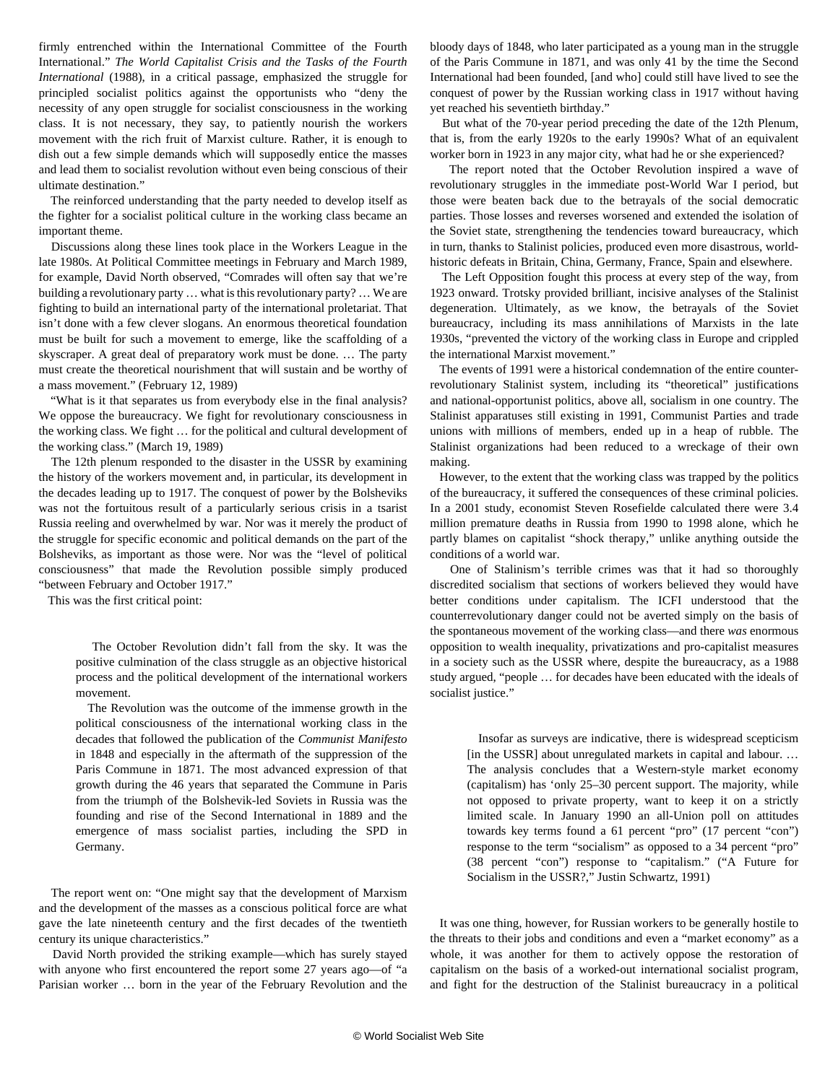firmly entrenched within the International Committee of the Fourth International." *The World Capitalist Crisis and the Tasks of the Fourth International* (1988), in a critical passage, emphasized the struggle for principled socialist politics against the opportunists who "deny the necessity of any open struggle for socialist consciousness in the working class. It is not necessary, they say, to patiently nourish the workers movement with the rich fruit of Marxist culture. Rather, it is enough to dish out a few simple demands which will supposedly entice the masses and lead them to socialist revolution without even being conscious of their ultimate destination."

 The reinforced understanding that the party needed to develop itself as the fighter for a socialist political culture in the working class became an important theme.

 Discussions along these lines took place in the Workers League in the late 1980s. At Political Committee meetings in February and March 1989, for example, David North observed, "Comrades will often say that we're building a revolutionary party … what is this revolutionary party? … We are fighting to build an international party of the international proletariat. That isn't done with a few clever slogans. An enormous theoretical foundation must be built for such a movement to emerge, like the scaffolding of a skyscraper. A great deal of preparatory work must be done. … The party must create the theoretical nourishment that will sustain and be worthy of a mass movement." (February 12, 1989)

 "What is it that separates us from everybody else in the final analysis? We oppose the bureaucracy. We fight for revolutionary consciousness in the working class. We fight … for the political and cultural development of the working class." (March 19, 1989)

 The 12th plenum responded to the disaster in the USSR by examining the history of the workers movement and, in particular, its development in the decades leading up to 1917. The conquest of power by the Bolsheviks was not the fortuitous result of a particularly serious crisis in a tsarist Russia reeling and overwhelmed by war. Nor was it merely the product of the struggle for specific economic and political demands on the part of the Bolsheviks, as important as those were. Nor was the "level of political consciousness" that made the Revolution possible simply produced "between February and October 1917."

This was the first critical point:

 The October Revolution didn't fall from the sky. It was the positive culmination of the class struggle as an objective historical process and the political development of the international workers movement.

 The Revolution was the outcome of the immense growth in the political consciousness of the international working class in the decades that followed the publication of the *Communist Manifesto* in 1848 and especially in the aftermath of the suppression of the Paris Commune in 1871. The most advanced expression of that growth during the 46 years that separated the Commune in Paris from the triumph of the Bolshevik-led Soviets in Russia was the founding and rise of the Second International in 1889 and the emergence of mass socialist parties, including the SPD in Germany.

 The report went on: "One might say that the development of Marxism and the development of the masses as a conscious political force are what gave the late nineteenth century and the first decades of the twentieth century its unique characteristics."

 David North provided the striking example—which has surely stayed with anyone who first encountered the report some 27 years ago—of "a Parisian worker … born in the year of the February Revolution and the bloody days of 1848, who later participated as a young man in the struggle of the Paris Commune in 1871, and was only 41 by the time the Second International had been founded, [and who] could still have lived to see the conquest of power by the Russian working class in 1917 without having yet reached his seventieth birthday."

 But what of the 70-year period preceding the date of the 12th Plenum, that is, from the early 1920s to the early 1990s? What of an equivalent worker born in 1923 in any major city, what had he or she experienced?

 The report noted that the October Revolution inspired a wave of revolutionary struggles in the immediate post-World War I period, but those were beaten back due to the betrayals of the social democratic parties. Those losses and reverses worsened and extended the isolation of the Soviet state, strengthening the tendencies toward bureaucracy, which in turn, thanks to Stalinist policies, produced even more disastrous, worldhistoric defeats in Britain, China, Germany, France, Spain and elsewhere.

 The Left Opposition fought this process at every step of the way, from 1923 onward. Trotsky provided brilliant, incisive analyses of the Stalinist degeneration. Ultimately, as we know, the betrayals of the Soviet bureaucracy, including its mass annihilations of Marxists in the late 1930s, "prevented the victory of the working class in Europe and crippled the international Marxist movement."

 The events of 1991 were a historical condemnation of the entire counterrevolutionary Stalinist system, including its "theoretical" justifications and national-opportunist politics, above all, socialism in one country. The Stalinist apparatuses still existing in 1991, Communist Parties and trade unions with millions of members, ended up in a heap of rubble. The Stalinist organizations had been reduced to a wreckage of their own making.

 However, to the extent that the working class was trapped by the politics of the bureaucracy, it suffered the consequences of these criminal policies. In a 2001 study, economist Steven Rosefielde calculated there were 3.4 million premature deaths in Russia from 1990 to 1998 alone, which he partly blames on capitalist "shock therapy," unlike anything outside the conditions of a world war.

 One of Stalinism's terrible crimes was that it had so thoroughly discredited socialism that sections of workers believed they would have better conditions under capitalism. The ICFI understood that the counterrevolutionary danger could not be averted simply on the basis of the spontaneous movement of the working class—and there *was* enormous opposition to wealth inequality, privatizations and pro-capitalist measures in a society such as the USSR where, despite the bureaucracy, as a 1988 study argued, "people … for decades have been educated with the ideals of socialist justice."

 Insofar as surveys are indicative, there is widespread scepticism [in the USSR] about unregulated markets in capital and labour. … The analysis concludes that a Western-style market economy (capitalism) has 'only 25–30 percent support. The majority, while not opposed to private property, want to keep it on a strictly limited scale. In January 1990 an all-Union poll on attitudes towards key terms found a 61 percent "pro" (17 percent "con") response to the term "socialism" as opposed to a 34 percent "pro" (38 percent "con") response to "capitalism." ("A Future for Socialism in the USSR?," Justin Schwartz, 1991)

 It was one thing, however, for Russian workers to be generally hostile to the threats to their jobs and conditions and even a "market economy" as a whole, it was another for them to actively oppose the restoration of capitalism on the basis of a worked-out international socialist program, and fight for the destruction of the Stalinist bureaucracy in a political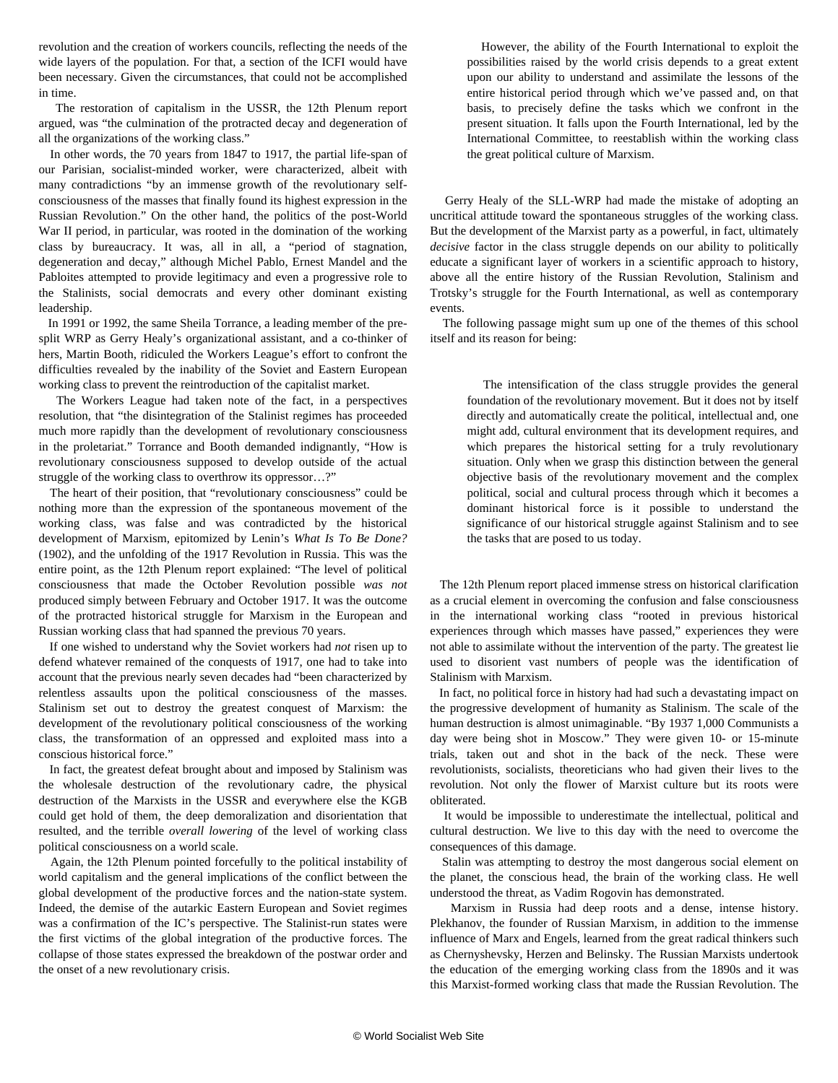revolution and the creation of workers councils, reflecting the needs of the wide layers of the population. For that, a section of the ICFI would have been necessary. Given the circumstances, that could not be accomplished in time.

 The restoration of capitalism in the USSR, the 12th Plenum report argued, was "the culmination of the protracted decay and degeneration of all the organizations of the working class."

 In other words, the 70 years from 1847 to 1917, the partial life-span of our Parisian, socialist-minded worker, were characterized, albeit with many contradictions "by an immense growth of the revolutionary selfconsciousness of the masses that finally found its highest expression in the Russian Revolution." On the other hand, the politics of the post-World War II period, in particular, was rooted in the domination of the working class by bureaucracy. It was, all in all, a "period of stagnation, degeneration and decay," although Michel Pablo, Ernest Mandel and the Pabloites attempted to provide legitimacy and even a progressive role to the Stalinists, social democrats and every other dominant existing leadership.

 In 1991 or 1992, the same Sheila Torrance, a leading member of the presplit WRP as Gerry Healy's organizational assistant, and a co-thinker of hers, Martin Booth, ridiculed the Workers League's effort to confront the difficulties revealed by the inability of the Soviet and Eastern European working class to prevent the reintroduction of the capitalist market.

 The Workers League had taken note of the fact, in a perspectives resolution, that "the disintegration of the Stalinist regimes has proceeded much more rapidly than the development of revolutionary consciousness in the proletariat." Torrance and Booth demanded indignantly, "How is revolutionary consciousness supposed to develop outside of the actual struggle of the working class to overthrow its oppressor…?"

 The heart of their position, that "revolutionary consciousness" could be nothing more than the expression of the spontaneous movement of the working class, was false and was contradicted by the historical development of Marxism, epitomized by Lenin's *What Is To Be Done?* (1902), and the unfolding of the 1917 Revolution in Russia. This was the entire point, as the 12th Plenum report explained: "The level of political consciousness that made the October Revolution possible *was not* produced simply between February and October 1917. It was the outcome of the protracted historical struggle for Marxism in the European and Russian working class that had spanned the previous 70 years.

 If one wished to understand why the Soviet workers had *not* risen up to defend whatever remained of the conquests of 1917, one had to take into account that the previous nearly seven decades had "been characterized by relentless assaults upon the political consciousness of the masses. Stalinism set out to destroy the greatest conquest of Marxism: the development of the revolutionary political consciousness of the working class, the transformation of an oppressed and exploited mass into a conscious historical force."

 In fact, the greatest defeat brought about and imposed by Stalinism was the wholesale destruction of the revolutionary cadre, the physical destruction of the Marxists in the USSR and everywhere else the KGB could get hold of them, the deep demoralization and disorientation that resulted, and the terrible *overall lowering* of the level of working class political consciousness on a world scale.

 Again, the 12th Plenum pointed forcefully to the political instability of world capitalism and the general implications of the conflict between the global development of the productive forces and the nation-state system. Indeed, the demise of the autarkic Eastern European and Soviet regimes was a confirmation of the IC's perspective. The Stalinist-run states were the first victims of the global integration of the productive forces. The collapse of those states expressed the breakdown of the postwar order and the onset of a new revolutionary crisis.

 However, the ability of the Fourth International to exploit the possibilities raised by the world crisis depends to a great extent upon our ability to understand and assimilate the lessons of the entire historical period through which we've passed and, on that basis, to precisely define the tasks which we confront in the present situation. It falls upon the Fourth International, led by the International Committee, to reestablish within the working class the great political culture of Marxism.

 Gerry Healy of the SLL-WRP had made the mistake of adopting an uncritical attitude toward the spontaneous struggles of the working class. But the development of the Marxist party as a powerful, in fact, ultimately *decisive* factor in the class struggle depends on our ability to politically educate a significant layer of workers in a scientific approach to history, above all the entire history of the Russian Revolution, Stalinism and Trotsky's struggle for the Fourth International, as well as contemporary events.

 The following passage might sum up one of the themes of this school itself and its reason for being:

 The intensification of the class struggle provides the general foundation of the revolutionary movement. But it does not by itself directly and automatically create the political, intellectual and, one might add, cultural environment that its development requires, and which prepares the historical setting for a truly revolutionary situation. Only when we grasp this distinction between the general objective basis of the revolutionary movement and the complex political, social and cultural process through which it becomes a dominant historical force is it possible to understand the significance of our historical struggle against Stalinism and to see the tasks that are posed to us today.

 The 12th Plenum report placed immense stress on historical clarification as a crucial element in overcoming the confusion and false consciousness in the international working class "rooted in previous historical experiences through which masses have passed," experiences they were not able to assimilate without the intervention of the party. The greatest lie used to disorient vast numbers of people was the identification of Stalinism with Marxism.

 In fact, no political force in history had had such a devastating impact on the progressive development of humanity as Stalinism. The scale of the human destruction is almost unimaginable. "By 1937 1,000 Communists a day were being shot in Moscow." They were given 10- or 15-minute trials, taken out and shot in the back of the neck. These were revolutionists, socialists, theoreticians who had given their lives to the revolution. Not only the flower of Marxist culture but its roots were obliterated.

 It would be impossible to underestimate the intellectual, political and cultural destruction. We live to this day with the need to overcome the consequences of this damage.

 Stalin was attempting to destroy the most dangerous social element on the planet, the conscious head, the brain of the working class. He well understood the threat, as Vadim Rogovin has demonstrated.

 Marxism in Russia had deep roots and a dense, intense history. Plekhanov, the founder of Russian Marxism, in addition to the immense influence of Marx and Engels, learned from the great radical thinkers such as Chernyshevsky, Herzen and Belinsky. The Russian Marxists undertook the education of the emerging working class from the 1890s and it was this Marxist-formed working class that made the Russian Revolution. The